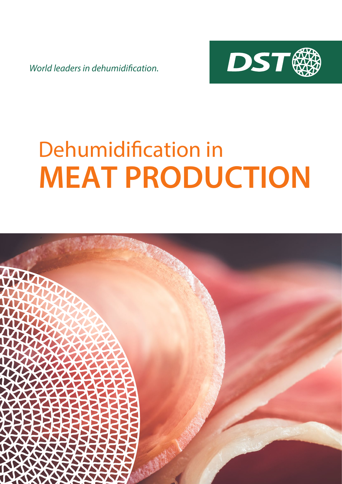*World leaders in dehumidification.*



# Dehumidification in **MEAT PRODUCTION**

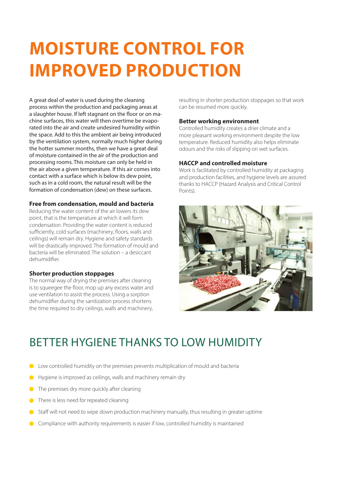## **MOISTURE CONTROL FOR IMPROVED PRODUCTION**

A great deal of water is used during the cleaning process within the production and packaging areas at a slaughter house. If left stagnant on the floor or on machine surfaces, this water will then overtime be evaporated into the air and create undesired humidity within the space. Add to this the ambient air being introduced by the ventilation system, normally much higher during the hotter summer months, then we have a great deal of moisture contained in the air of the production and processing rooms. This moisture can only be held in the air above a given temperature. If this air comes into contact with a surface which is below its dew point, such as in a cold room, the natural result will be the formation of condensation (dew) on these surfaces.

#### **Free from condensation, mould and bacteria**

Reducing the water content of the air lowers its dew point, that is the temperature at which it will form condensation. Providing the water content is reduced sufficiently, cold surfaces (machinery, floors, walls and ceilings) will remain dry. Hygiene and safety standards will be drastically improved. The formation of mould and bacteria will be eliminated. The solution – a desiccant dehumidifier.

#### **Shorter production stoppages**

The normal way of drying the premises after cleaning is to squeegee the floor, mop up any excess water and use ventilation to assist the process. Using a sorption dehumidifier during the sanitization process shortens the time required to dry ceilings, walls and machinery,

resulting in shorter production stoppages so that work can be resumed more quickly.

#### **Better working environment**

Controlled humidity creates a drier climate and a more pleasant working environment despite the low temperature. Reduced humidity also helps eliminate odours and the risks of slipping on wet surfaces.

#### **HACCP and controlled moisture**

Work is facilitated by controlled humidity at packaging and production facilities, and hygiene levels are assured thanks to HACCP (Hazard Analysis and Critical Control Points).



### BETTER HYGIENE THANKS TO LOW HUMIDITY

- Low controlled humidity on the premises prevents multiplication of mould and bacteria
- Hygiene is improved as ceilings, walls and machinery remain dry
- **O** The premises dry more quickly after cleaning
- **There is less need for repeated cleaning**
- Staff will not need to wipe down production machinery manually, thus resulting in greater uptime
- Compliance with authority requirements is easier if low, controlled humidity is maintained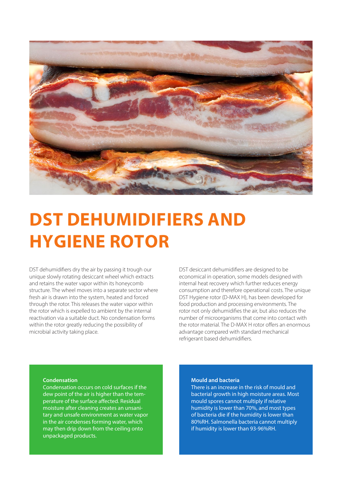

### **DST DEHUMIDIFIERS AND HYGIENE ROTOR**

DST dehumidifiers dry the air by passing it trough our unique slowly rotating desiccant wheel which extracts and retains the water vapor within its honeycomb structure. The wheel moves into a separate sector where fresh air is drawn into the system, heated and forced through the rotor. This releases the water vapor within the rotor which is expelled to ambient by the internal reactivation via a suitable duct. No condensation forms within the rotor greatly reducing the possibility of microbial activity taking place.

DST desiccant dehumidifiers are designed to be economical in operation, some models designed with internal heat recovery which further reduces energy consumption and therefore operational costs. The unique DST Hygiene rotor (D-MAX H), has been developed for food production and processing environments. The rotor not only dehumidifies the air, but also reduces the number of microorganisms that come into contact with the rotor material. The D-MAX H rotor offers an enormous advantage compared with standard mechanical refrigerant based dehumidifiers.

#### **Condensation**

Condensation occurs on cold surfaces if the dew point of the air is higher than the temperature of the surface affected. Residual moisture after cleaning creates an unsanitary and unsafe environment as water vapor in the air condenses forming water, which may then drip down from the ceiling onto unpackaged products.

#### **Mould and bacteria**

There is an increase in the risk of mould and bacterial growth in high moisture areas. Most mould spores cannot multiply if relative humidity is lower than 70%, and most types of bacteria die if the humidity is lower than 80%RH. Salmonella bacteria cannot multiply if humidity is lower than 93-96%RH.